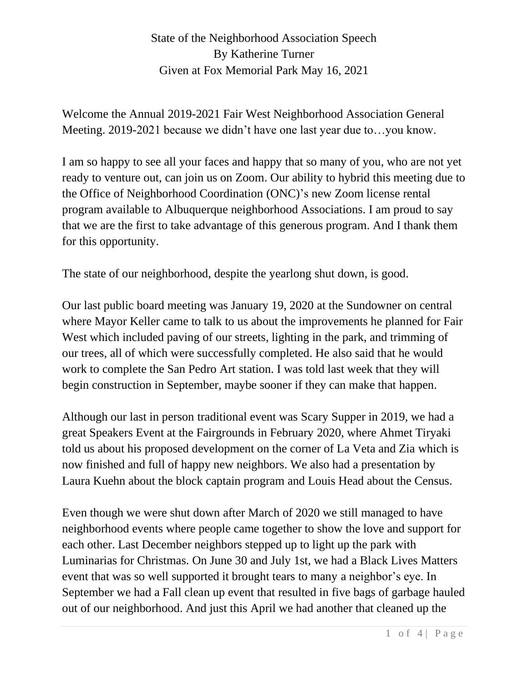Welcome the Annual 2019-2021 Fair West Neighborhood Association General Meeting. 2019-2021 because we didn't have one last year due to…you know.

I am so happy to see all your faces and happy that so many of you, who are not yet ready to venture out, can join us on Zoom. Our ability to hybrid this meeting due to the Office of Neighborhood Coordination (ONC)'s new Zoom license rental program available to Albuquerque neighborhood Associations. I am proud to say that we are the first to take advantage of this generous program. And I thank them for this opportunity.

The state of our neighborhood, despite the yearlong shut down, is good.

Our last public board meeting was January 19, 2020 at the Sundowner on central where Mayor Keller came to talk to us about the improvements he planned for Fair West which included paving of our streets, lighting in the park, and trimming of our trees, all of which were successfully completed. He also said that he would work to complete the San Pedro Art station. I was told last week that they will begin construction in September, maybe sooner if they can make that happen.

Although our last in person traditional event was Scary Supper in 2019, we had a great Speakers Event at the Fairgrounds in February 2020, where Ahmet Tiryaki told us about his proposed development on the corner of La Veta and Zia which is now finished and full of happy new neighbors. We also had a presentation by Laura Kuehn about the block captain program and Louis Head about the Census.

Even though we were shut down after March of 2020 we still managed to have neighborhood events where people came together to show the love and support for each other. Last December neighbors stepped up to light up the park with Luminarias for Christmas. On June 30 and July 1st, we had a Black Lives Matters event that was so well supported it brought tears to many a neighbor's eye. In September we had a Fall clean up event that resulted in five bags of garbage hauled out of our neighborhood. And just this April we had another that cleaned up the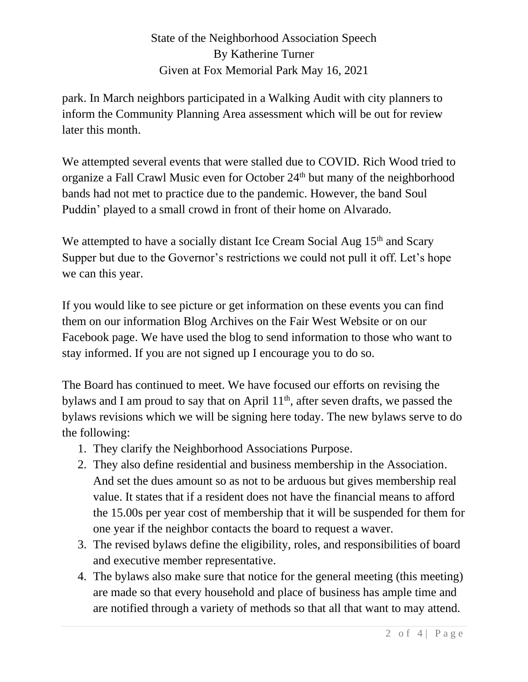park. In March neighbors participated in a Walking Audit with city planners to inform the Community Planning Area assessment which will be out for review later this month.

We attempted several events that were stalled due to COVID. Rich Wood tried to organize a Fall Crawl Music even for October 24<sup>th</sup> but many of the neighborhood bands had not met to practice due to the pandemic. However, the band Soul Puddin' played to a small crowd in front of their home on Alvarado.

We attempted to have a socially distant Ice Cream Social Aug  $15<sup>th</sup>$  and Scary Supper but due to the Governor's restrictions we could not pull it off. Let's hope we can this year.

If you would like to see picture or get information on these events you can find them on our information Blog Archives on the Fair West Website or on our Facebook page. We have used the blog to send information to those who want to stay informed. If you are not signed up I encourage you to do so.

The Board has continued to meet. We have focused our efforts on revising the bylaws and I am proud to say that on April 11<sup>th</sup>, after seven drafts, we passed the bylaws revisions which we will be signing here today. The new bylaws serve to do the following:

- 1. They clarify the Neighborhood Associations Purpose.
- 2. They also define residential and business membership in the Association. And set the dues amount so as not to be arduous but gives membership real value. It states that if a resident does not have the financial means to afford the 15.00s per year cost of membership that it will be suspended for them for one year if the neighbor contacts the board to request a waver.
- 3. The revised bylaws define the eligibility, roles, and responsibilities of board and executive member representative.
- 4. The bylaws also make sure that notice for the general meeting (this meeting) are made so that every household and place of business has ample time and are notified through a variety of methods so that all that want to may attend.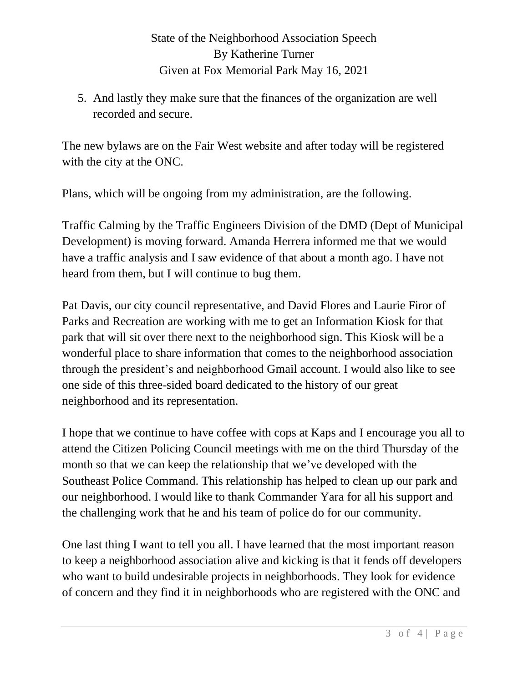5. And lastly they make sure that the finances of the organization are well recorded and secure.

The new bylaws are on the Fair West website and after today will be registered with the city at the ONC.

Plans, which will be ongoing from my administration, are the following.

Traffic Calming by the Traffic Engineers Division of the DMD (Dept of Municipal Development) is moving forward. Amanda Herrera informed me that we would have a traffic analysis and I saw evidence of that about a month ago. I have not heard from them, but I will continue to bug them.

Pat Davis, our city council representative, and David Flores and Laurie Firor of Parks and Recreation are working with me to get an Information Kiosk for that park that will sit over there next to the neighborhood sign. This Kiosk will be a wonderful place to share information that comes to the neighborhood association through the president's and neighborhood Gmail account. I would also like to see one side of this three-sided board dedicated to the history of our great neighborhood and its representation.

I hope that we continue to have coffee with cops at Kaps and I encourage you all to attend the Citizen Policing Council meetings with me on the third Thursday of the month so that we can keep the relationship that we've developed with the Southeast Police Command. This relationship has helped to clean up our park and our neighborhood. I would like to thank Commander Yara for all his support and the challenging work that he and his team of police do for our community.

One last thing I want to tell you all. I have learned that the most important reason to keep a neighborhood association alive and kicking is that it fends off developers who want to build undesirable projects in neighborhoods. They look for evidence of concern and they find it in neighborhoods who are registered with the ONC and